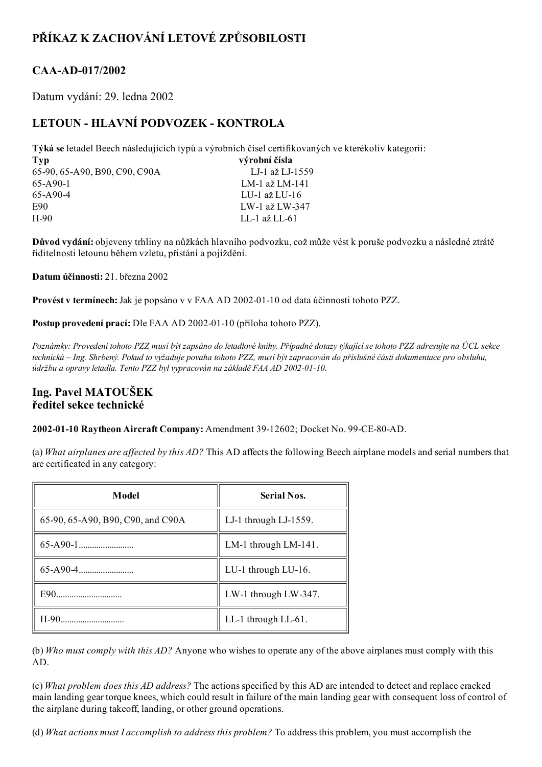# PŘÍKAZ K ZACHOVÁNÍ LETOVÉ ZPŮSOBILOSTI

## CAA-AD-017/2002

Datum vydání: 29. ledna 2002

## LETOUN - HLAVNÍ PODVOZEK - KONTROLA

Týká se letadel Beech následujících typů a výrobních čísel certifikovaných ve kterékoliv kategorii:

| Typ                           | výrobní čísla   |
|-------------------------------|-----------------|
| 65-90, 65-A90, B90, C90, C90A | LJ-1 až LJ-1559 |
| 65-A90-1                      | LM-1 až LM-141  |
| 65-A90-4                      | LU-1 až LU-16   |
| E90                           | LW-1 až LW-347  |
| H-90                          | LL-1 až LL-61   |
|                               |                 |

Důvod vydání: objeveny trhliny na nůžkách hlavního podvozku, což může vést k poruše podvozku a následné ztrátě řiditelnosti letounu během vzletu, přistání a pojíždění.

Datum účinnosti: 21. března 2002

Provést v termínech: Jak je popsáno v v FAA AD 2002-01-10 od data účinnosti tohoto PZZ.

Postup provedení prací: Dle FAA AD 2002-01-10 (příloha tohoto PZZ).

Poznámky: Provedení tohoto PZZ musí být zapsáno do letadlové knihy. Případné dotazy týkající se tohoto PZZ adresujte na ÚCL sekce technická – Ing. Shrbený. Pokud to vyžaduje povaha tohoto PZZ, musí být zapracován do příslušné části dokumentace pro obsluhu, údržbu a opravy letadla. Tento PZZ byl vypracován na základě FAA AD 2002-01-10.

### Ing. Pavel MATOUŠEK ředitel sekce technické

2002-01-10 Raytheon Aircraft Company: Amendment 39-12602; Docket No. 99-CE-80-AD.

(a) What airplanes are affected by this  $AD$ ? This AD affects the following Beech airplane models and serial numbers that are certificated in any category:

| Model                             | <b>Serial Nos.</b>    |
|-----------------------------------|-----------------------|
| 65-90, 65-A90, B90, C90, and C90A | LJ-1 through LJ-1559. |
|                                   | LM-1 through LM-141.  |
|                                   | LU-1 through LU-16.   |
|                                   | LW-1 through LW-347.  |
| H-90                              | LL-1 through LL-61.   |

(b) Who must comply with this AD? Anyone who wishes to operate any of the above airplanes must comply with this AD.

(c) What problem does this AD address? The actions specified by this AD are intended to detect and replace cracked main landing gear torque knees, which could result in failure of the main landing gear with consequent loss of control of the airplane during takeoff, landing, or other ground operations.

(d) What actions must I accomplish to address this problem? To address this problem, you must accomplish the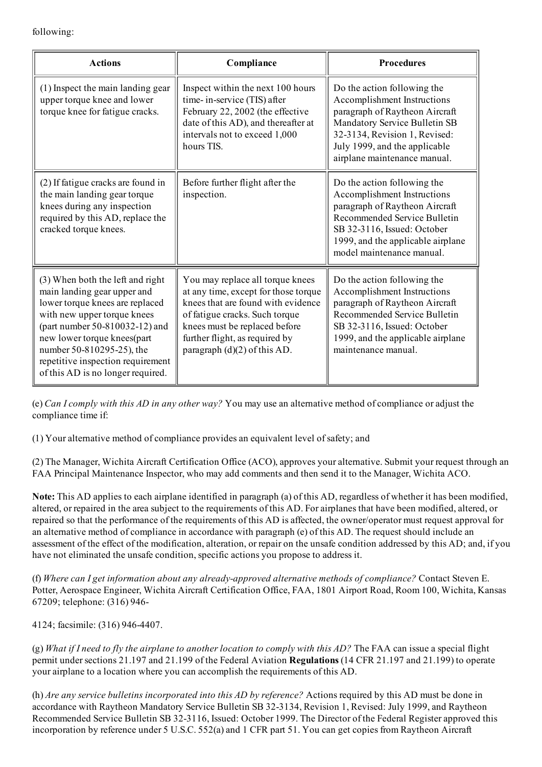following:

| <b>Actions</b>                                                                                                                                                                                                                                                                                            | Compliance                                                                                                                                                                                                                                            | <b>Procedures</b>                                                                                                                                                                                                               |
|-----------------------------------------------------------------------------------------------------------------------------------------------------------------------------------------------------------------------------------------------------------------------------------------------------------|-------------------------------------------------------------------------------------------------------------------------------------------------------------------------------------------------------------------------------------------------------|---------------------------------------------------------------------------------------------------------------------------------------------------------------------------------------------------------------------------------|
| (1) Inspect the main landing gear<br>upper torque knee and lower<br>torque knee for fatigue cracks.                                                                                                                                                                                                       | Inspect within the next 100 hours<br>time-in-service (TIS) after<br>February 22, 2002 (the effective<br>date of this AD), and thereafter at<br>intervals not to exceed 1,000<br>hours TIS.                                                            | Do the action following the<br>Accomplishment Instructions<br>paragraph of Raytheon Aircraft<br>Mandatory Service Bulletin SB<br>32-3134, Revision 1, Revised:<br>July 1999, and the applicable<br>airplane maintenance manual. |
| (2) If fatigue cracks are found in<br>the main landing gear torque<br>knees during any inspection<br>required by this AD, replace the<br>cracked torque knees.                                                                                                                                            | Before further flight after the<br>inspection.                                                                                                                                                                                                        | Do the action following the<br>Accomplishment Instructions<br>paragraph of Raytheon Aircraft<br>Recommended Service Bulletin<br>SB 32-3116, Issued: October<br>1999, and the applicable airplane<br>model maintenance manual.   |
| (3) When both the left and right<br>main landing gear upper and<br>lower torque knees are replaced<br>with new upper torque knees<br>(part number 50-810032-12) and<br>new lower torque knees(part<br>number 50-810295-25), the<br>repetitive inspection requirement<br>of this AD is no longer required. | You may replace all torque knees<br>at any time, except for those torque<br>knees that are found with evidence<br>of fatigue cracks. Such torque<br>knees must be replaced before<br>further flight, as required by<br>paragraph $(d)(2)$ of this AD. | Do the action following the<br>Accomplishment Instructions<br>paragraph of Raytheon Aircraft<br>Recommended Service Bulletin<br>SB 32-3116, Issued: October<br>1999, and the applicable airplane<br>maintenance manual.         |

(e) Can I comply with this AD in any other way? You may use an alternative method of compliance or adjust the compliance time if:

(1) Your alternative method of compliance provides an equivalent level ofsafety; and

(2) The Manager, Wichita Aircraft Certification Office (ACO), approves your alternative. Submit your request through an FAA Principal Maintenance Inspector, who may add comments and then send it to the Manager, Wichita ACO.

Note: This AD applies to each airplane identified in paragraph (a) of this AD, regardless of whether it has been modified, altered, or repaired in the area subject to the requirements of this AD. For airplanes that have been modified, altered, or repaired so that the performance of the requirements of this AD is affected, the owner/operator must request approval for an alternative method of compliance in accordance with paragraph (e) of this AD. The request should include an assessment of the effect of the modification, alteration, or repair on the unsafe condition addressed by this AD; and, if you have not eliminated the unsafe condition, specific actions you propose to address it.

(f) Where can I get information about any alreadyapproved alternative methods of compliance? Contact Steven E. Potter, Aerospace Engineer, Wichita Aircraft Certification Office, FAA, 1801 Airport Road, Room 100, Wichita, Kansas 67209; telephone: (316) 946

4124; facsimile: (316) 9464407.

(g) What if I need to fly the airplane to another location to comply with this  $AD$ ? The FAA can issue a special flight permit undersections 21.197 and 21.199 of the Federal Aviation Regulations (14 CFR 21.197 and 21.199) to operate your airplane to a location where you can accomplish the requirements of this AD.

(h) Are any service bulletins incorporated into this AD by reference? Actions required by this AD must be done in accordance with Raytheon Mandatory Service Bulletin SB 32-3134, Revision 1, Revised: July 1999, and Raytheon Recommended Service Bulletin SB 32-3116, Issued: October 1999. The Director of the Federal Register approved this incorporation by reference under 5 U.S.C. 552(a) and 1 CFR part 51. You can get copies from Raytheon Aircraft